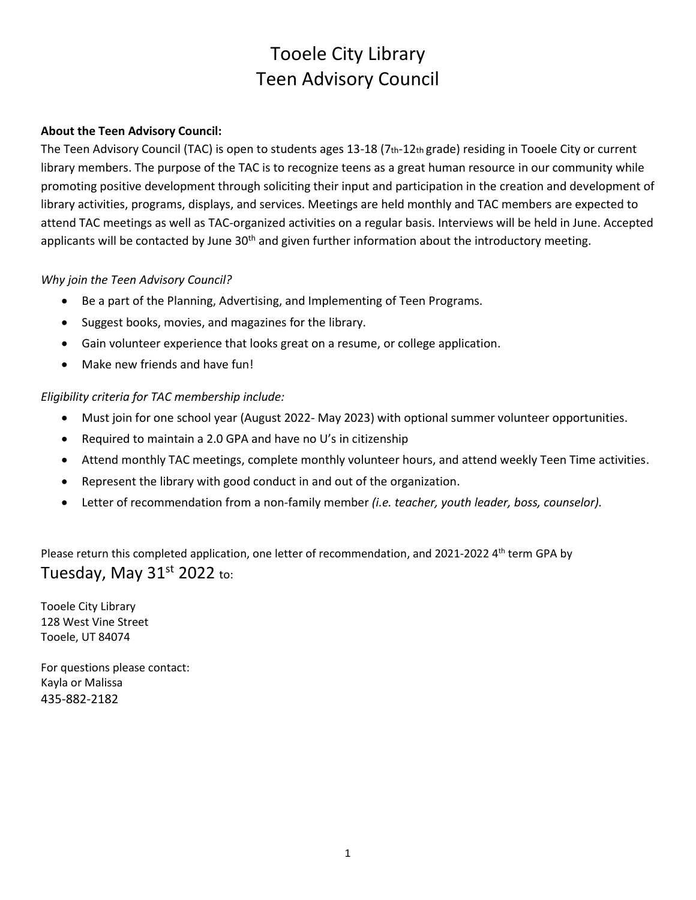# Tooele City Library Teen Advisory Council

#### **About the Teen Advisory Council:**

The Teen Advisory Council (TAC) is open to students ages 13-18 (7th-12th grade) residing in Tooele City or current library members. The purpose of the TAC is to recognize teens as a great human resource in our community while promoting positive development through soliciting their input and participation in the creation and development of library activities, programs, displays, and services. Meetings are held monthly and TAC members are expected to attend TAC meetings as well as TAC-organized activities on a regular basis. Interviews will be held in June. Accepted applicants will be contacted by June 30<sup>th</sup> and given further information about the introductory meeting.

#### *Why join the Teen Advisory Council?*

- Be a part of the Planning, Advertising, and Implementing of Teen Programs.
- Suggest books, movies, and magazines for the library.
- Gain volunteer experience that looks great on a resume, or college application.
- Make new friends and have fun!

#### *Eligibility criteria for TAC membership include:*

- Must join for one school year (August 2022- May 2023) with optional summer volunteer opportunities.
- Required to maintain a 2.0 GPA and have no U's in citizenship
- Attend monthly TAC meetings, complete monthly volunteer hours, and attend weekly Teen Time activities.
- Represent the library with good conduct in and out of the organization.
- Letter of recommendation from a non-family member *(i.e. teacher, youth leader, boss, counselor).*

Please return this completed application, one letter of recommendation, and 2021-2022 4<sup>th</sup> term GPA by Tuesday, May 31st 2022 to:

Tooele City Library 128 West Vine Street Tooele, UT 84074

For questions please contact: Kayla or Malissa 435-882-2182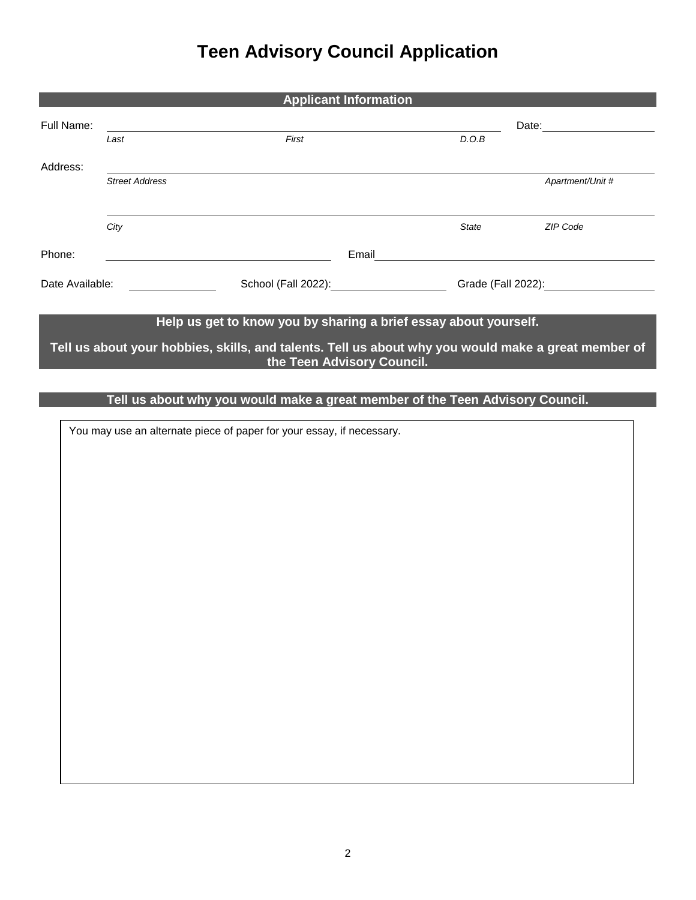## **Teen Advisory Council Application**

| <b>Applicant Information</b>                                                                        |                       |       |                                         |              |                    |  |
|-----------------------------------------------------------------------------------------------------|-----------------------|-------|-----------------------------------------|--------------|--------------------|--|
| Full Name:                                                                                          |                       |       | Date:                                   |              |                    |  |
|                                                                                                     | Last                  | First |                                         | D.O.B        |                    |  |
| Address:                                                                                            |                       |       |                                         |              |                    |  |
|                                                                                                     | <b>Street Address</b> |       |                                         |              | Apartment/Unit #   |  |
|                                                                                                     |                       |       |                                         |              |                    |  |
|                                                                                                     | City                  |       |                                         | <b>State</b> | ZIP Code           |  |
| Phone:                                                                                              |                       |       | Email                                   |              |                    |  |
| Date Available:                                                                                     |                       |       | School (Fall 2022): School (Fall 2022): |              | Grade (Fall 2022): |  |
|                                                                                                     |                       |       |                                         |              |                    |  |
| Help us get to know you by sharing a brief essay about yourself.                                    |                       |       |                                         |              |                    |  |
| Tell us about your hobbies, skills, and talents. Tell us about why you would make a great member of |                       |       |                                         |              |                    |  |

**the Teen Advisory Council.**

### **Tell us about why you would make a great member of the Teen Advisory Council.**

You may use an alternate piece of paper for your essay, if necessary.